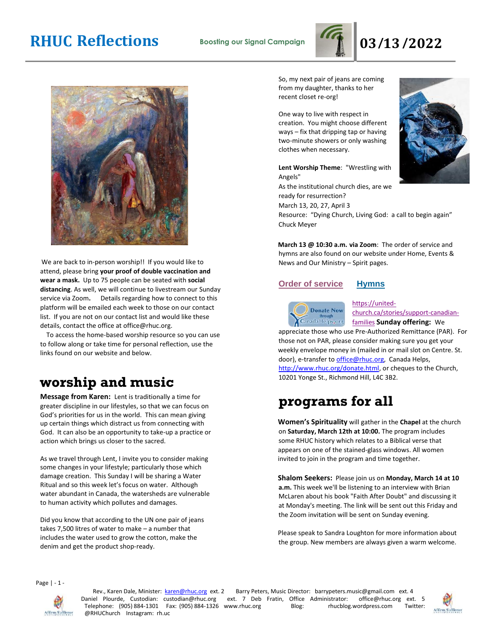# **RHUC Reflections Boosting our Signal Campaign 03/13/2022**



We are back to in-person worship!! If you would like to attend, please bring **your proof of double vaccination and wear a mask.** Up to 75 people can be seated with **social distancing**. As well, we will continue to livestream our Sunday service via Zoom**.** Details regarding how to connect to this platform will be emailed each week to those on our contact list. If you are not on our contact list and would like these details, contact the office at office@rhuc.org.

 To access the home-based worship resource so you can use to follow along or take time for personal reflection, use the links found on our website and below.

# **worship and music**

**Message from Karen:** Lent is traditionally a time for greater discipline in our lifestyles, so that we can focus on God's priorities for us in the world. This can mean giving up certain things which distract us from connecting with God. It can also be an opportunity to take-up a practice or action which brings us closer to the sacred.

As we travel through Lent, I invite you to consider making some changes in your lifestyle; particularly those which damage creation. This Sunday I will be sharing a Water Ritual and so this week let's focus on water. Although water abundant in Canada, the watersheds are vulnerable to human activity which pollutes and damages.

Did you know that according to the UN one pair of jeans takes 7,500 litres of water to make – a number that includes the water used to grow the cotton, make the denim and get the product shop-ready.

So, my next pair of jeans are coming from my daughter, thanks to her recent closet re-org!

One way to live with respect in creation. You might choose different ways – fix that dripping tap or having two-minute showers or only washing clothes when necessary.

**Lent Worship Theme**: "Wrestling with Angels" As the institutional church dies, are we

ready for resurrection? March 13, 20, 27, April 3 Resource: "Dying Church, Living God: a call to begin again" Chuck Meyer

**March 13 @ 10:30 a.m. via Zoom**: The order of service and hymns are also found on our website under Home, Events & News and Our Ministry – Spirit pages.

### **Order of [service](http://rhuc.org/March%20%2013%20OofS.pdf) [Hymns](http://rhuc.org/Hymns%20for%202022%2003%2013.pdf)**



[https://united](https://united-church.ca/stories/support-canadian-families)[church.ca/stories/support-canadian-](https://united-church.ca/stories/support-canadian-families)

[families](https://united-church.ca/stories/support-canadian-families) **[S](https://united-church.ca/stories/support-canadian-families)unday offering:** We appreciate those who use Pre-Authorized Remittance (PAR). For those not on PAR, please consider making sure you get your weekly envelope money in (mailed in or mail slot on Centre. St. door), e-transfer to office@rhuc.org, Canada Helps, [http://www.rhuc.org/donate.html,](http://www.rhuc.org/donate.html) or cheques to the Church, 10201 Yonge St., Richmond Hill, L4C 3B2.

# **programs for all**

**Women's Spirituality** will gather in the **Chapel** at the church on **Saturday, March 12th at 10:00.** The program includes some RHUC history which relates to a Biblical verse that appears on one of the stained-glass windows. All women invited to join in the program and time together.

**Shalom Seekers:** Please join us on **Monday, March 14 at 10 a.m.** This week we'll be listening to an interview with Brian McLaren about his book "Faith After Doubt" and discussing it at Monday's meeting. The link will be sent out this Friday and the Zoom invitation will be sent on Sunday evening.

Please speak to Sandra Loughton for more information about the group. New members are always given a warm welcome.

Page | - 1 -



Rev., Karen Dale, Minister: karen@rhuc.org ext. 2 Barry Peters, Music Director: barrypeters.music@gmail.com ext. 4<br>Daniel Plourde, Custodian: custodian@rhuc.org ext. 7 Deb Fratin, Office Administrator: office@rhuc.org ext ext. 7 Deb Fratin, Office Administrator: office@rhuc.org ext. 5<br>www.rhuc.org Blog: rhucblog.wordpress.com Twitter: Telephone: (905) 884-1301 Fax: (905) 884-1326 www.rhuc.org Blog: rhucblog.wordpress.com @RHUChurch Instagram: rh.uc



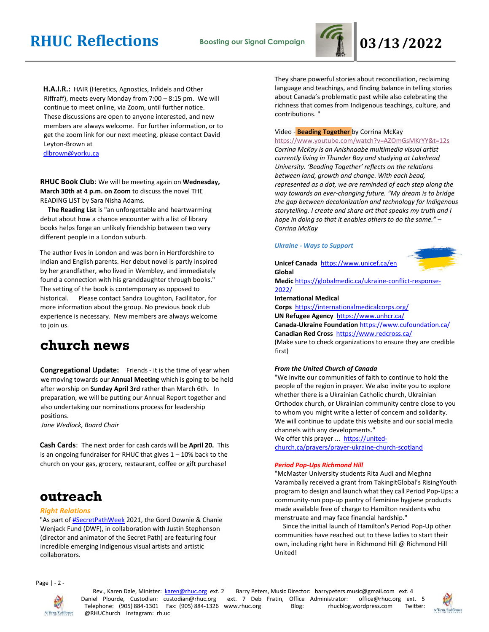

**H.A.I.R.:** HAIR (Heretics, Agnostics, Infidels and Other Riffraff), meets every Monday from 7:00 – 8:15 pm. We will continue to meet online, via Zoom, until further notice. These discussions are open to anyone interested, and new members are always welcome. For further information, or to get the zoom link for our next meeting, please contact David Leyton-Brown at dlbrown@yorku.ca

**RHUC Book Club**: We will be meeting again on **Wednesday, March 30th at 4 p.m. on Zoom** to discuss the novel THE READING LIST by Sara Nisha Adams.

 **The Reading List** is "an unforgettable and heartwarming debut about how a chance encounter with a list of library books helps forge an unlikely friendship between two very different people in a London suburb.

The author lives in London and was born in Hertfordshire to Indian and English parents. Her debut novel is partly inspired by her grandfather, who lived in Wembley, and immediately found a connection with his granddaughter through books." The setting of the book is contemporary as opposed to historical. Please contact Sandra Loughton, Facilitator, for more information about the group. No previous book club experience is necessary. New members are always welcome to join us.

## **church news**

**Congregational Update:** Friends - it is the time of year when we moving towards our **Annual Meeting** which is going to be held after worship on **Sunday April 3rd** rather than March 6th. In preparation, we will be putting our Annual Report together and also undertaking our nominations process for leadership positions.

*Jane Wedlock, Board Chair* 

**Cash Cards**: The next order for cash cards will be **April 20.** This is an ongoing fundraiser for RHUC that gives  $1 - 10\%$  back to the church on your gas, grocery, restaurant, coffee or gift purchase!

## **outreach**

### *Right Relations*

"As part of [#SecretPathWeek](https://www.youtube.com/hashtag/secretpathweek) 2021, the Gord Downie & Chanie Wenjack Fund (DWF), in collaboration with Justin Stephenson (director and animator of the Secret Path) are featuring four incredible emerging Indigenous visual artists and artistic collaborators.

They share powerful stories about reconciliation, reclaiming language and teachings, and finding balance in telling stories about Canada's problematic past while also celebrating the richness that comes from Indigenous teachings, culture, and contributions. "

#### Video - **Beading Together** by Corrina McKay

<https://www.youtube.com/watch?v=AZOmGsMKrYY&t=12s> *Corrina McKay is an Anishnaabe multimedia visual artist currently living in Thunder Bay and studying at Lakehead University. 'Beading Together' reflects on the relations between land, growth and change. With each bead, represented as a dot, we are reminded of each step along the way towards an ever-changing future. "My dream is to bridge the gap between decolonization and technology for Indigenous storytelling. I create and share art that speaks my truth and I hope in doing so that it enables others to do the same." – Corrina McKay*

### *Ukraine - Ways to Support*

### **Unicef Canada** <https://www.unicef.ca/en> **Global**



**Medic** [https://globalmedic.ca/ukraine-conflict-response-](https://globalmedic.ca/ukraine-conflict-response-2022/)[2022/](https://globalmedic.ca/ukraine-conflict-response-2022/)

#### **International Medical**

**Corps** <https://internationalmedicalcorps.org/> **UN Refugee Agency** <https://www.unhcr.ca/> **Canada-Ukraine Foundation** <https://www.cufoundation.ca/> **Canadian Red Cross** <https://www.redcross.ca/>

(Make sure to check organizations to ensure they are credible first)

### *From the United Church of Canada*

"We invite our communities of faith to continue to hold the people of the region in prayer. We also invite you to explore whether there is a Ukrainian Catholic church, Ukrainian Orthodox church, or Ukrainian community centre close to you to whom you might write a letter of concern and solidarity. We will continue to update this website and our social media channels with any developments."

We offer this prayer ... [https://united](https://united-church.ca/prayers/prayer-ukraine-church-scotland)[church.ca/prayers/prayer-ukraine-church-scotland](https://united-church.ca/prayers/prayer-ukraine-church-scotland)

#### *Period Pop-Ups Richmond Hill*

"McMaster University students Rita Audi and Meghna Varambally received a grant from TakingItGlobal's RisingYouth program to design and launch what they call Period Pop-Ups: a community-run pop-up pantry of feminine hygiene products made available free of charge to Hamilton residents who menstruate and may face financial hardship."

 Since the initial launch of Hamilton's Period Pop-Up other communities have reached out to these ladies to start their own, including right here in Richmond Hill @ Richmond Hill United!

Page | - 2 -



Rev., Karen Dale, Minister: karen@rhuc.org ext. 2 Barry Peters, Music Director: barrypeters.music@gmail.com ext. 4 Daniel Plourde, Custodian: custodian@rhuc.org ext. 7 Deb Fratin, Office Administrator: office@rhuc.org ext. 5 Telephone: (905) 884-1301 Fax: (905) 884-1326 www.rhuc.org Blog: rhucblog.wordpress.com Twitter: @RHUChurch Instagram: rh.uc

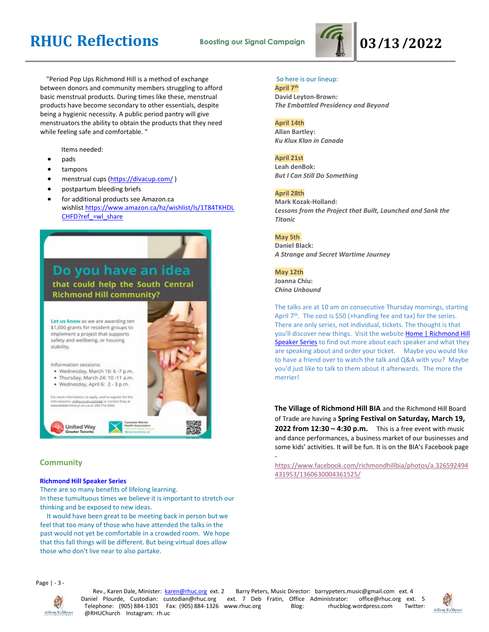# **RHUC Reflections Boosting our Signal Campaign 03/13/2022**



 "Period Pop Ups Richmond Hill is a method of exchange between donors and community members struggling to afford basic menstrual products. During times like these, menstrual products have become secondary to other essentials, despite being a hygienic necessity. A public period pantry will give menstruators the ability to obtain the products that they need while feeling safe and comfortable. "

Items needed:

- pads
- tampons
- menstrual cups [\(https://divacup.com/](https://divacup.com/))
- postpartum bleeding briefs
- for additional products see Amazon.ca wishlist [https://www.amazon.ca/hz/wishlist/ls/1T84TKHDL](https://www.amazon.ca/hz/wishlist/ls/1T84TKHDLCHFD?ref_=wl_share) [CHFD?ref\\_=wl\\_share](https://www.amazon.ca/hz/wishlist/ls/1T84TKHDLCHFD?ref_=wl_share)



### **Community**

### **Richmond Hill Speaker Series**

There are so many benefits of lifelong learning. In these tumultuous times we believe it is important to stretch our thinking and be exposed to new ideas.

 It would have been great to be meeting back in person but we feel that too many of those who have attended the talks in the past would not yet be comfortable in a crowded room. We hope that this fall things will be different. But being virtual does allow those who don't live near to also partake.

### So here is our lineup:

**April 7 th David Leyton-Brown:** *The Embattled Presidency and Beyond*

### **April 14th**

**Allan Bartley:** *Ku Klux Klan in Canada*

### **April 21st**

**Leah denBok:** *But I Can Still Do Something*

### **April 28th**

**Mark Kozak-Holland:** *Lessons from the Project that Built, Launched and Sank the Titanic*

### **May 5th**

**Daniel Black:** *A Strange and Secret Wartime Journey*

### **May 12th**

**Joanna Chiu:** *China Unbound*

The talks are at 10 am on consecutive Thursday mornings, starting April 7<sup>th</sup>. The cost is \$50 (+handling fee and tax) for the series. There are only series, not individual, tickets. The thought is that you'll discover new things. Visit the website Home | Richmond Hill [Speaker Series](https://www.richmondhillspeakerseries.ca/) to find out more about each speaker and what they are speaking about and order your ticket. Maybe you would like to have a friend over to watch the talk and Q&A with you? Maybe you'd just like to talk to them about it afterwards. The more the merrier!

**The Village of Richmond Hill BIA** and the Richmond Hill Board of Trade are having a **Spring Festival on Saturday, March 19, 2022 from 12:30 – 4:30 p.m.** This is a free event with music and dance performances, a business market of our businesses and some kids' activities. It will be fun. It is on the BIA's Facebook page -

[https://www.facebook.com/richmondhillbia/photos/a.326592494](https://www.facebook.com/richmondhillbia/photos/a.326592494431953/1360630004361525/) [431953/1360630004361525/](https://www.facebook.com/richmondhillbia/photos/a.326592494431953/1360630004361525/)

Page | - 3 -



Rev., Karen Dale, Minister: karen@rhuc.org ext. 2 Barry Peters, Music Director: barrypeters.music@gmail.com ext. 4 Daniel Plourde, Custodian: custodian@rhuc.org ext. 7 Deb Fratin, Office Administrator: office@rhuc.org ext. 5 Telephone: (905) 884-1301 Fax: (905) 884-1326 www.rhuc.org Blog: rhucblog.wordpress.com Twitter: @RHUChurch Instagram: rh.uc